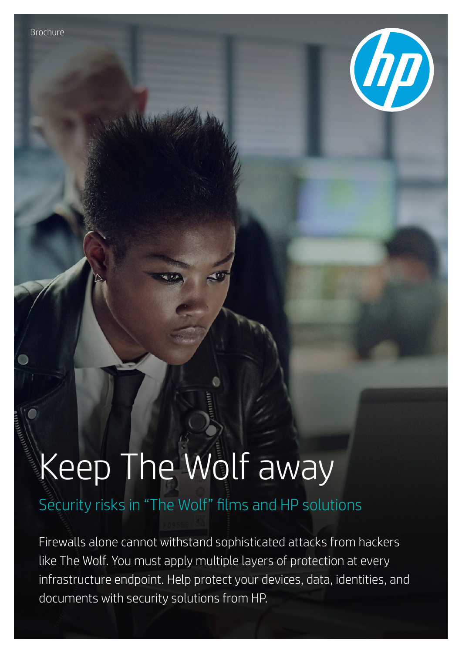

# Keep The Wolf away

# Security risks in "The Wolf" films and HP solutions

Firewalls alone cannot withstand sophisticated attacks from hackers like The Wolf. You must apply multiple layers of protection at every infrastructure endpoint. Help protect your devices, data, identities, and documents with security solutions from HP.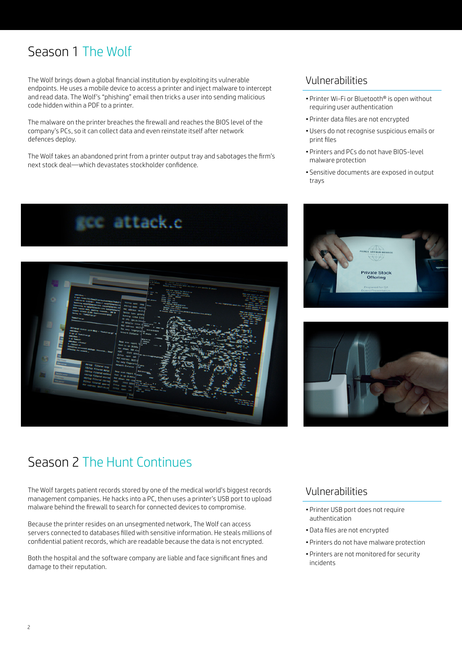# Season 1 The Wolf

The Wolf brings down a global financial institution by exploiting its vulnerable endpoints. He uses a mobile device to access a printer and inject malware to intercept and read data. The Wolf's "phishing" email then tricks a user into sending malicious code hidden within a PDF to a printer.

The malware on the printer breaches the firewall and reaches the BIOS level of the company's PCs, so it can collect data and even reinstate itself after network defences deploy.

The Wolf takes an abandoned print from a printer output tray and sabotages the firm's next stock deal—which devastates stockholder confidence.





## Vulnerabilities

- Printer Wi-Fi or Bluetooth® is open without requiring user authentication
- Printer data files are not encrypted
- Users do not recognise suspicious emails or print files
- Printers and PCs do not have BIOS-level malware protection
- Sensitive documents are exposed in output trays





# Season 2 The Hunt Continues

The Wolf targets patient records stored by one of the medical world's biggest records management companies. He hacks into a PC, then uses a printer's USB port to upload malware behind the firewall to search for connected devices to compromise.

Because the printer resides on an unsegmented network, The Wolf can access servers connected to databases filled with sensitive information. He steals millions of confidential patient records, which are readable because the data is not encrypted.

Both the hospital and the software company are liable and face significant fines and damage to their reputation.

### Vulnerabilities

- Printer USB port does not require authentication
- Data files are not encrypted
- Printers do not have malware protection
- Printers are not monitored for security incidents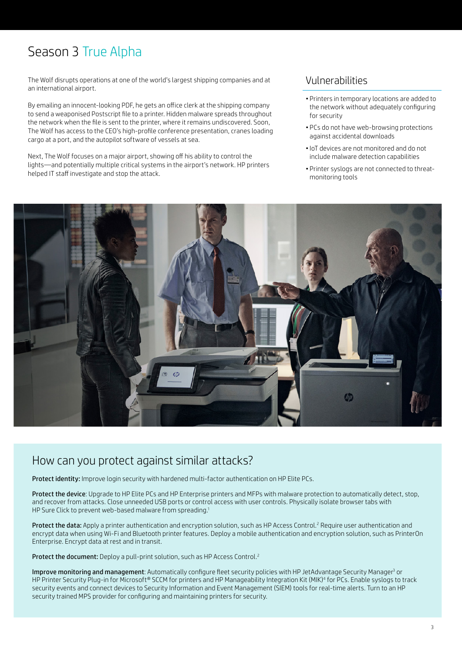# Season 3 True Alpha

The Wolf disrupts operations at one of the world's largest shipping companies and at an international airport.

By emailing an innocent-looking PDF, he gets an office clerk at the shipping company to send a weaponised Postscript file to a printer. Hidden malware spreads throughout the network when the file is sent to the printer, where it remains undiscovered. Soon, The Wolf has access to the CEO's high-profile conference presentation, cranes loading cargo at a port, and the autopilot software of vessels at sea.

Next, The Wolf focuses on a major airport, showing off his ability to control the lights—and potentially multiple critical systems in the airport's network. HP printers helped IT staff investigate and stop the attack.

#### Vulnerabilities

- Printers in temporary locations are added to the network without adequately configuring for security
- PCs do not have web-browsing protections against accidental downloads
- •IoT devices are not monitored and do not include malware detection capabilities
- Printer syslogs are not connected to threatmonitoring tools



# How can you protect against similar attacks?

Protect identity: Improve login security with hardened multi-factor authentication on HP Elite PCs.

Protect the device: Upgrade to HP Elite PCs and HP Enterprise printers and MFPs with malware protection to automatically detect, stop, and recover from attacks. Close unneeded USB ports or control access with user controls. Physically isolate browser tabs with HP Sure Click to prevent web-based malware from spreading.<sup>1</sup>

**Protect the data:** Apply a printer authentication and encryption solution, such as HP Access Control.<sup>2</sup> Require user authentication and encrypt data when using Wi-Fi and Bluetooth printer features. Deploy a mobile authentication and encryption solution, such as PrinterOn Enterprise. Encrypt data at rest and in transit.

Protect the document: Deploy a pull-print solution, such as HP Access Control.<sup>2</sup>

**Improve monitoring and management**: Automatically configure fleet security policies with HP JetAdvantage Security Manager<sup>3</sup> or HP Printer Security Plug-in for Microsoft® SCCM for printers and HP Manageability Integration Kit (MIK)<sup>4</sup> for PCs. Enable syslogs to track security events and connect devices to Security Information and Event Management (SIEM) tools for real-time alerts. Turn to an HP security trained MPS provider for configuring and maintaining printers for security.